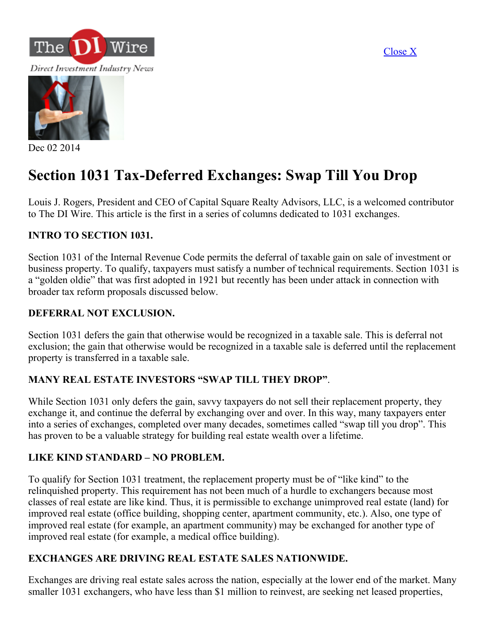[Close](javascript:window.close()) X





Dec 02 2014

# Section 1031 Tax-Deferred Exchanges: Swap Till You Drop

Louis J. Rogers, President and CEO of Capital Square Realty Advisors, LLC, is a welcomed contributor to The DI Wire. This article is the first in a series of columns dedicated to 1031 exchanges.

#### INTRO TO SECTION 1031.

Section 1031 of the Internal Revenue Code permits the deferral of taxable gain on sale of investment or business property. To qualify, taxpayers must satisfy a number of technical requirements. Section 1031 is a "golden oldie" that was first adopted in 1921 but recently has been under attack in connection with broader tax reform proposals discussed below.

#### DEFERRAL NOT EXCLUSION.

Section 1031 defers the gain that otherwise would be recognized in a taxable sale. This is deferral not exclusion; the gain that otherwise would be recognized in a taxable sale is deferred until the replacement property is transferred in a taxable sale.

#### MANY REAL ESTATE INVESTORS "SWAP TILL THEY DROP".

While Section 1031 only defers the gain, savvy taxpayers do not sell their replacement property, they exchange it, and continue the deferral by exchanging over and over. In this way, many taxpayers enter into a series of exchanges, completed over many decades, sometimes called "swap till you drop". This has proven to be a valuable strategy for building real estate wealth over a lifetime.

#### LIKE KIND STANDARD – NO PROBLEM.

To qualify for Section 1031 treatment, the replacement property must be of "like kind" to the relinquished property. This requirement has not been much of a hurdle to exchangers because most classes of real estate are like kind. Thus, it is permissible to exchange unimproved real estate (land) for improved real estate (office building, shopping center, apartment community, etc.). Also, one type of improved real estate (for example, an apartment community) may be exchanged for another type of improved real estate (for example, a medical office building).

#### EXCHANGES ARE DRIVING REAL ESTATE SALES NATIONWIDE.

Exchanges are driving real estate sales across the nation, especially at the lower end of the market. Many smaller 1031 exchangers, who have less than \$1 million to reinvest, are seeking net leased properties,